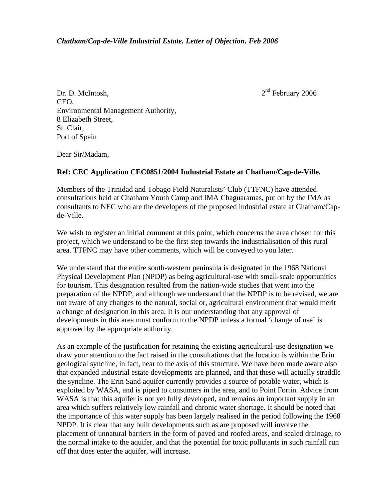$2<sup>nd</sup>$  February 2006

Dr. D. McIntosh, CEO, Environmental Management Authority, 8 Elizabeth Street, St. Clair, Port of Spain

Dear Sir/Madam,

## **Ref: CEC Application CEC0851/2004 Industrial Estate at Chatham/Cap-de-Ville.**

Members of the Trinidad and Tobago Field Naturalists' Club (TTFNC) have attended consultations held at Chatham Youth Camp and IMA Chaguaramas, put on by the IMA as consultants to NEC who are the developers of the proposed industrial estate at Chatham/Capde-Ville.

We wish to register an initial comment at this point, which concerns the area chosen for this project, which we understand to be the first step towards the industrialisation of this rural area. TTFNC may have other comments, which will be conveyed to you later.

We understand that the entire south-western peninsula is designated in the 1968 National Physical Development Plan (NPDP) as being agricultural-use with small-scale opportunities for tourism. This designation resulted from the nation-wide studies that went into the preparation of the NPDP, and although we understand that the NPDP is to be revised, we are not aware of any changes to the natural, social or, agricultural environment that would merit a change of designation in this area. It is our understanding that any approval of developments in this area must conform to the NPDP unless a formal 'change of use' is approved by the appropriate authority.

As an example of the justification for retaining the existing agricultural-use designation we draw your attention to the fact raised in the consultations that the location is within the Erin geological syncline, in fact, near to the axis of this structure. We have been made aware also that expanded industrial estate developments are planned, and that these will actually straddle the syncline. The Erin Sand aquifer currently provides a source of potable water, which is exploited by WASA, and is piped to consumers in the area, and to Point Fortin. Advice from WASA is that this aquifer is not yet fully developed, and remains an important supply in an area which suffers relatively low rainfall and chronic water shortage. It should be noted that the importance of this water supply has been largely realised in the period following the 1968 NPDP. It is clear that any built developments such as are proposed will involve the placement of unnatural barriers in the form of paved and roofed areas, and sealed drainage, to the normal intake to the aquifer, and that the potential for toxic pollutants in such rainfall run off that does enter the aquifer, will increase.